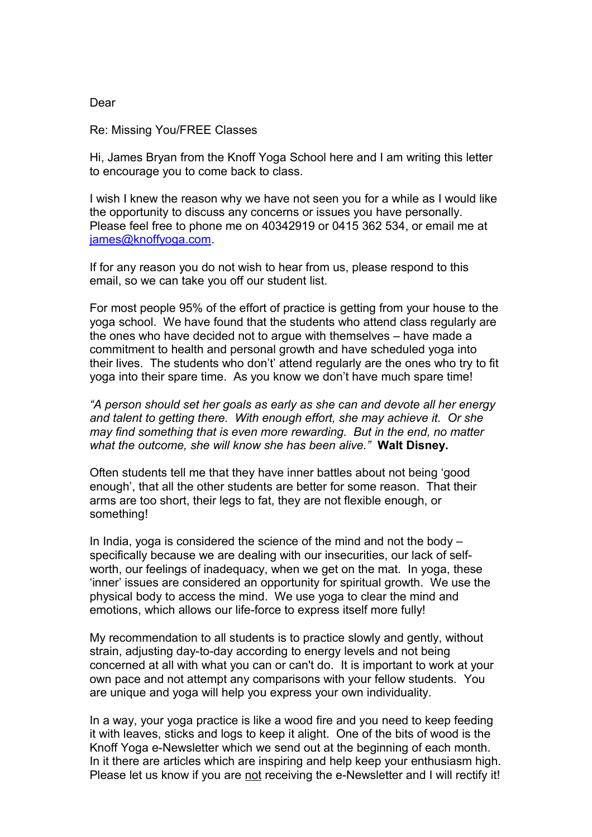## Dear

Re: Missing You/FREE Classes

Hi, James Bryan from the Knoff Yoga School here and I am writing this letter to encourage you to come back to class.

I wish I knew the reason why we have not seen you for a while as I would like the opportunity to discuss any concerns or issues you have personally. Please feel free to phone me on 40342919 or 0415 362 534, or email me at [james@knoffyoga.com.](mailto:james@knoffyoga.com)

If for any reason you do not wish to hear from us, please respond to this email, so we can take you off our student list.

For most people 95% of the effort of practice is getting from your house to the yoga school. We have found that the students who attend class regularly are the ones who have decided not to argue with themselves – have made a commitment to health and personal growth and have scheduled yoga into their lives. The students who don't' attend regularly are the ones who try to fit yoga into their spare time. As you know we don't have much spare time!

*"A person should set her goals as early as she can and devote all her energy and talent to getting there. With enough effort, she may achieve it. Or she may find something that is even more rewarding. But in the end, no matter what the outcome, she will know she has been alive."* **Walt Disney.**

Often students tell me that they have inner battles about not being 'good enough', that all the other students are better for some reason. That their arms are too short, their legs to fat, they are not flexible enough, or something!

In India, yoga is considered the science of the mind and not the body – specifically because we are dealing with our insecurities, our lack of selfworth, our feelings of inadequacy, when we get on the mat. In yoga, these 'inner' issues are considered an opportunity for spiritual growth. We use the physical body to access the mind. We use yoga to clear the mind and emotions, which allows our life-force to express itself more fully!

My recommendation to all students is to practice slowly and gently, without strain, adjusting day-to-day according to energy levels and not being concerned at all with what you can or can't do. It is important to work at your own pace and not attempt any comparisons with your fellow students. You are unique and yoga will help you express your own individuality.

In a way, your yoga practice is like a wood fire and you need to keep feeding it with leaves, sticks and logs to keep it alight. One of the bits of wood is the Knoff Yoga e-Newsletter which we send out at the beginning of each month. In it there are articles which are inspiring and help keep your enthusiasm high. Please let us know if you are not receiving the e-Newsletter and I will rectify it!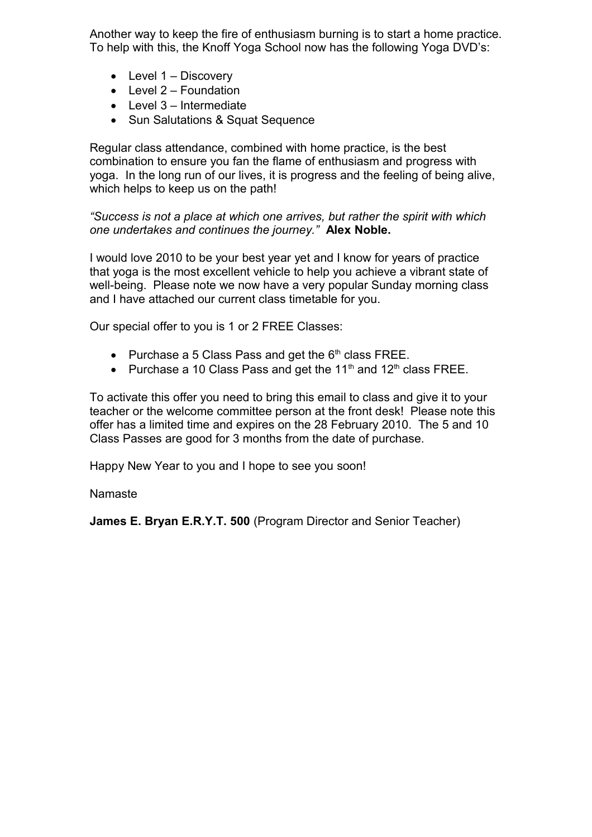Another way to keep the fire of enthusiasm burning is to start a home practice. To help with this, the Knoff Yoga School now has the following Yoga DVD's:

- $\bullet$  Level 1 Discovery
- $\bullet$  Level 2 Foundation
- $\bullet$  Level 3 Intermediate
- Sun Salutations & Squat Sequence

Regular class attendance, combined with home practice, is the best combination to ensure you fan the flame of enthusiasm and progress with yoga. In the long run of our lives, it is progress and the feeling of being alive, which helps to keep us on the path!

*"Success is not a place at which one arrives, but rather the spirit with which one undertakes and continues the journey."* **Alex Noble.**

I would love 2010 to be your best year yet and I know for years of practice that yoga is the most excellent vehicle to help you achieve a vibrant state of well-being. Please note we now have a very popular Sunday morning class and I have attached our current class timetable for you.

Our special offer to you is 1 or 2 FREE Classes:

- Purchase a 5 Class Pass and get the  $6<sup>th</sup>$  class FREE.
- Purchase a 10 Class Pass and get the 11<sup>th</sup> and 12<sup>th</sup> class FREE.

To activate this offer you need to bring this email to class and give it to your teacher or the welcome committee person at the front desk! Please note this offer has a limited time and expires on the 28 February 2010. The 5 and 10 Class Passes are good for 3 months from the date of purchase.

Happy New Year to you and I hope to see you soon!

## Namaste

**James E. Bryan E.R.Y.T. 500** (Program Director and Senior Teacher)